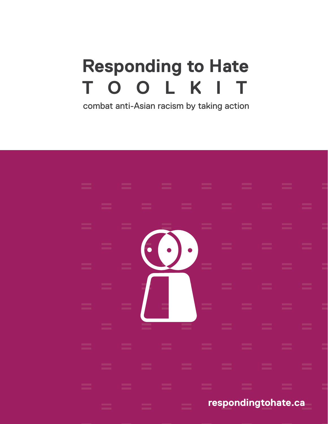#### **Responding to Hate**  $\Omega$ Τ  $\Omega$ L K

combat anti-Asian racism by taking action

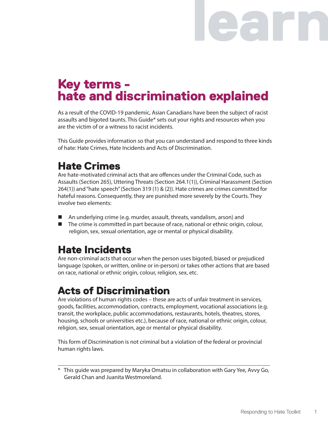# earn a

## Key terms hate and discrimination explained

As a result of the COVID-19 pandemic, Asian Canadians have been the subject of racist assaults and bigoted taunts. This Guide\* sets out your rights and resources when you are the victim of or a witness to racist incidents.

This Guide provides information so that you can understand and respond to three kinds of hate: Hate Crimes, Hate Incidents and Acts of Discrimination.

### Hate Crimes

Are hate-motivated criminal acts that are offences under the Criminal Code, such as Assaults (Section 265), Uttering Threats (Section 264.1(1)), Criminal Harassment (Section 264(1)) and "hate speech" (Section 319 (1) & (2)). Hate crimes are crimes committed for hateful reasons. Consequently, they are punished more severely by the Courts. They involve two elements:

- An underlying crime (e.g. murder, assault, threats, vandalism, arson) and
- The crime is committed in part because of race, national or ethnic origin, colour, religion, sex, sexual orientation, age or mental or physical disability.

#### Hate Incidents

Are non-criminal acts that occur when the person uses bigoted, biased or prejudiced language (spoken, or written, online or in-person) or takes other actions that are based on race, national or ethnic origin, colour, religion, sex, etc.

### Acts of Discrimination

Are violations of human rights codes – these are acts of unfair treatment in services, goods, facilities, accommodation, contracts, employment, vocational associations (e.g. transit, the workplace, public accommodations, restaurants, hotels, theatres, stores, housing, schools or universities etc.), because of race, national or ethnic origin, colour, religion, sex, sexual orientation, age or mental or physical disability.

This form of Discrimination is not criminal but a violation of the federal or provincial human rights laws.

\_\_\_\_\_\_\_\_\_\_\_\_\_\_\_\_\_\_\_\_\_\_\_\_\_\_\_\_\_\_\_\_\_\_\_\_\_\_\_\_\_\_\_\_\_\_\_\_\_\_\_\_\_\_\_\_\_\_\_\_\_\_\_\_\_\_\_\_\_\_\_\_ \* This guide was prepared by Maryka Omatsu in collaboration with Gary Yee, Avvy Go, Gerald Chan and Juanita Westmoreland.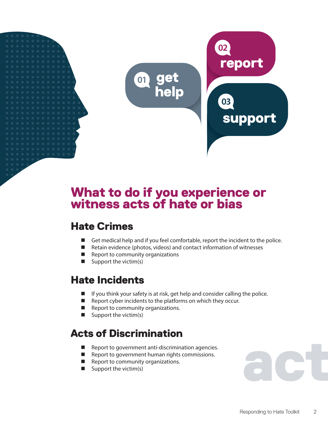

## What to do if you experience or witness acts of hate or bias

### Hate Crimes

- Get medical help and if you feel comfortable, report the incident to the police.
- Retain evidence (photos, videos) and contact information of witnesses
- $\blacksquare$  Report to community organizations
- $\blacksquare$  Support the victim(s)

#### Hate Incidents

- If you think your safety is at risk, get help and consider calling the police.
- $\blacksquare$  Report cyber incidents to the platforms on which they occur.
- Report to community organizations.
- Support the victim(s)

## Acts of Discrimination

- Report to government anti-discrimination agencies.
- Report to government human rights commissions.
- Report to community organizations.
- $\blacksquare$  Support the victim(s)

act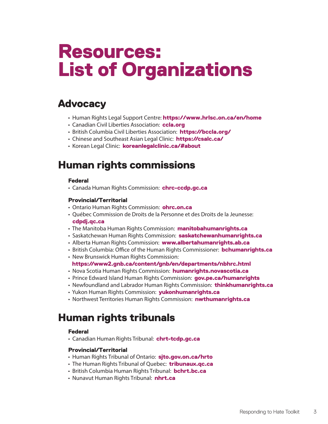## Resources: List of Organizations

#### **Advocacy**

- Human Rights Legal Support Centre: <https://www.hrlsc.on.ca/en/home>
- Canadian Civil Liberties Association: [ccla.org](https://ccla.org/)
- British Columbia Civil Liberties Association: <https://bccla.org/>
- Chinese and Southeast Asian Legal Clinic: <https://csalc.ca/>
- Korean Legal Clinic: koreanlegalclinic.ca/#about

#### Human rights commissions

#### Federal

• Canada Human Rights Commission: [chrc-ccdp.gc.ca](https://www.chrc-ccdp.gc.ca/index.html)

#### Provincial/Territorial

- Ontario Human Rights Commission: [ohrc.on.ca](www.ohrc.on.ca)
- Québec Commission de Droits de la Personne et des Droits de la Jeunesse: [cdpdj.qc.ca](https://www.cdpdj.qc.ca/)
- The Manitoba Human Rights Commission: **[manitobahumanrights.ca](http://www.manitobahumanrights.ca/)**
- Saskatchewan Human Rights Commission: [saskatchewanhumanrights.ca](https://saskatchewanhumanrights.ca/)
- Alberta Human Rights Commission: [www.albertahumanrights.ab.ca](http://www.albertahumanrights.ab.ca)
- British Columbia: Office of the Human Rights Commissioner: **[bchumanrights.ca](https://bchumanrights.ca/)**
- New Brunswick Human Rights Commission:
- <https://www2.gnb.ca/content/gnb/en/departments/nbhrc.html>
- Nova Scotia Human Rights Commission: [humanrights.novascotia.ca](https://humanrights.novascotia.ca/)
- Prince Edward Island Human Rights Commission: [gov.pe.ca/humanrights](http://www.gov.pe.ca/humanrights/)
- Newfoundland and Labrador Human Rights Commission: [thinkhumanrights.ca](https://thinkhumanrights.ca/)
- Yukon Human Rights Commission: [yukonhumanrights.ca](https://yukonhumanrights.ca/)
- Northwest Territories Human Rights Commission: [nwthumanrights.ca](http://www.nwthumanrights.ca/)

#### Human rights tribunals

#### Federal

• Canadian Human Rights Tribunal: [chrt-tcdp.gc.ca](https://chrt-tcdp.gc.ca/)

#### Provincial/Territorial

- Human Rights Tribunal of Ontario: sito.gov.on.ca/hrto
- The Human Rights Tribunal of Quebec: [tribunaux.qc.ca](http://www.tribunaux.qc.ca/)
- British Columbia Human Rights Tribunal: [bchrt.bc.ca](http://www.bchrt.bc.ca/)
- Nunavut Human Rights Tribunal: nhrt.ca